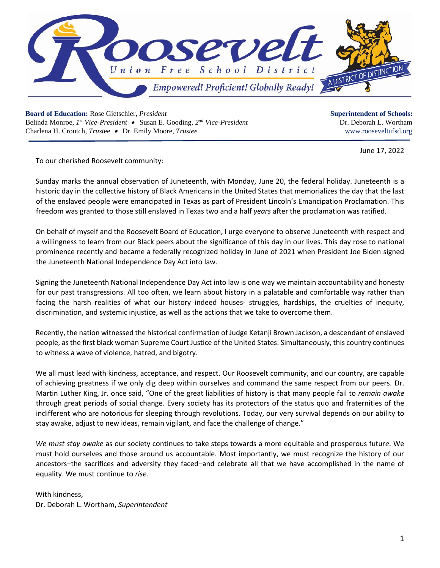

**Board of Education:** Rose Gietschier, *President* **Superintendent of Schools: Superintendent of Schools:** Belinda Monroe, *I*<sup>st</sup> *Vice-President* • Susan E. Gooding, 2<sup>*nd*</sup> *Vice-President* **Dr. Deborah L. Wortham Dr. Deborah L. Wortham** Charlena H. Croutch, *Trust*ee •Dr. Emily Moore*, Trustee* www.rooseveltufsd.org

June 17, 2022

To our cherished Roosevelt community:

Sunday marks the annual observation of Juneteenth, with Monday, June 20, the federal holiday. Juneteenth is a historic day in the collective history of Black Americans in the United States that memorializes the day that the last of the enslaved people were emancipated in Texas as part of President Lincoln's Emancipation Proclamation. This freedom was granted to those still enslaved in Texas two and a half *years* after the proclamation was ratified.

On behalf of myself and the Roosevelt Board of Education, I urge everyone to observe Juneteenth with respect and a willingness to learn from our Black peers about the significance of this day in our lives. This day rose to national prominence recently and became a federally recognized holiday in June of 2021 when President Joe Biden signed the Juneteenth National Independence Day Act into law.

Signing the Juneteenth National Independence Day Act into law is one way we maintain accountability and honesty for our past transgressions. All too often, we learn about history in a palatable and comfortable way rather than facing the harsh realities of what our history indeed houses- struggles, hardships, the cruelties of inequity, discrimination, and systemic injustice, as well as the actions that we take to overcome them.

Recently, the nation witnessed the historical confirmation of Judge Ketanji Brown Jackson, a descendant of enslaved people, as the first black woman Supreme Court Justice of the United States. Simultaneously, this country continues to witness a wave of violence, hatred, and bigotry.

We all must lead with kindness, acceptance, and respect. Our Roosevelt community, and our country, are capable of achieving greatness if we only dig deep within ourselves and command the same respect from our peers. Dr. Martin Luther King, Jr. once said, "One of the great liabilities of history is that many people fail to *remain awake* through great periods of social change. Every society has its protectors of the status quo and fraternities of the indifferent who are notorious for sleeping through revolutions. Today, our very survival depends on our ability to stay awake, adjust to new ideas, remain vigilant, and face the challenge of change."

*We must stay awake* as our society continues to take steps towards a more equitable and prosperous futur*e*. We must hold ourselves and those around us accountable. Most importantly, we must recognize the history of our ancestors–the sacrifices and adversity they faced–and celebrate all that we have accomplished in the name of equality. We must continue to *rise.*

With kindness, Dr. Deborah L. Wortham, *Superintendent*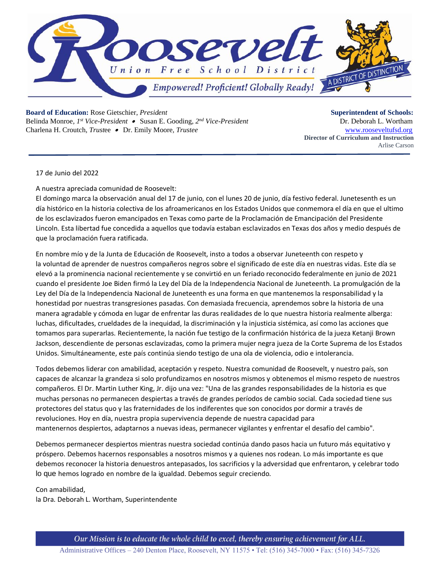

**Board of Education:** Rose Gietschier, *President* **Superintendent of Schools: Superintendent of Schools:** 

Belinda Monroe, *I*<sup>st</sup> *Vice-President* • Susan E. Gooding, 2<sup>*nd*</sup> *Vice-President* **Dr. Deborah L. Wortham Dr.** Deborah L. Wortham Charlena H. Croutch, *Trust*ee •Dr. Emily Moore*, Trustee* [www.rooseveltufsd.org](http://www.rooseveltufsd.org/)

**Director of Curriculum and Instruction** Arlise Carson

17 de Junio del 2022

A nuestra apreciada comunidad de Roosevelt:

El domingo marca la observación anual del 17 de junio, con el lunes 20 de junio, día festivo federal. Junetesenth es un día histórico en la historia colectiva de los afroamericanos en los Estados Unidos que conmemora el día en que el ultimo de los esclavizados fueron emancipados en Texas como parte de la Proclamación de Emancipación del Presidente Lincoln. Esta libertad fue concedida a aquellos que todavía estaban esclavizados en Texas dos años y medio después de que la proclamación fuera ratificada.

En nombre mío y de la Junta de Educación de Roosevelt, insto a todos a observar Juneteenth con respeto y la voluntad de aprender de nuestros compañeros negros sobre el significado de este día en nuestras vidas. Este día se elevó a la prominencia nacional recientemente y se convirtió en un feriado reconocido federalmente en junio de 2021 cuando el presidente Joe Biden firmó la Ley del Día de la Independencia Nacional de Juneteenth. La promulgación de la Ley del Día de la Independencia Nacional de Juneteenth es una forma en que mantenemos la responsabilidad y la honestidad por nuestras transgresiones pasadas. Con demasiada frecuencia, aprendemos sobre la historia de una manera agradable y cómoda en lugar de enfrentar las duras realidades de lo que nuestra historia realmente alberga: luchas, dificultades, crueldades de la inequidad, la discriminación y la injusticia sistémica, así como las acciones que tomamos para superarlas. Recientemente, la nación fue testigo de la confirmación histórica de la jueza Ketanji Brown Jackson, descendiente de personas esclavizadas, como la primera mujer negra jueza de la Corte Suprema de los Estados Unidos. Simultáneamente, este país continúa siendo testigo de una ola de violencia, odio e intolerancia.

Todos debemos liderar con amabilidad, aceptación y respeto. Nuestra comunidad de Roosevelt, y nuestro país, son capaces de alcanzar la grandeza si solo profundizamos en nosotros mismos y obtenemos el mismo respeto de nuestros compañeros. El Dr. Martin Luther King, Jr. dijo una vez: "Una de las grandes responsabilidades de la historia es que muchas personas no permanecen despiertas a través de grandes períodos de cambio social. Cada sociedad tiene sus protectores del status quo y las fraternidades de los indiferentes que son conocidos por dormir a través de revoluciones. Hoy en día, nuestra propia supervivencia depende de nuestra capacidad para mantenernos despiertos, adaptarnos a nuevas ideas, permanecer vigilantes y enfrentar el desafío del cambio".

Debemos permanecer despiertos mientras nuestra sociedad continúa dando pasos hacia un futuro más equitativo y próspero. Debemos hacernos responsables a nosotros mismos y a quienes nos rodean. Lo más importante es que debemos reconocer la historia denuestros antepasados, los sacrificios y la adversidad que enfrentaron, y celebrar todo lo que hemos logrado en nombre de la igualdad. Debemos seguir creciendo.

Con amabilidad,

la Dra. Deborah L. Wortham, Superintendente